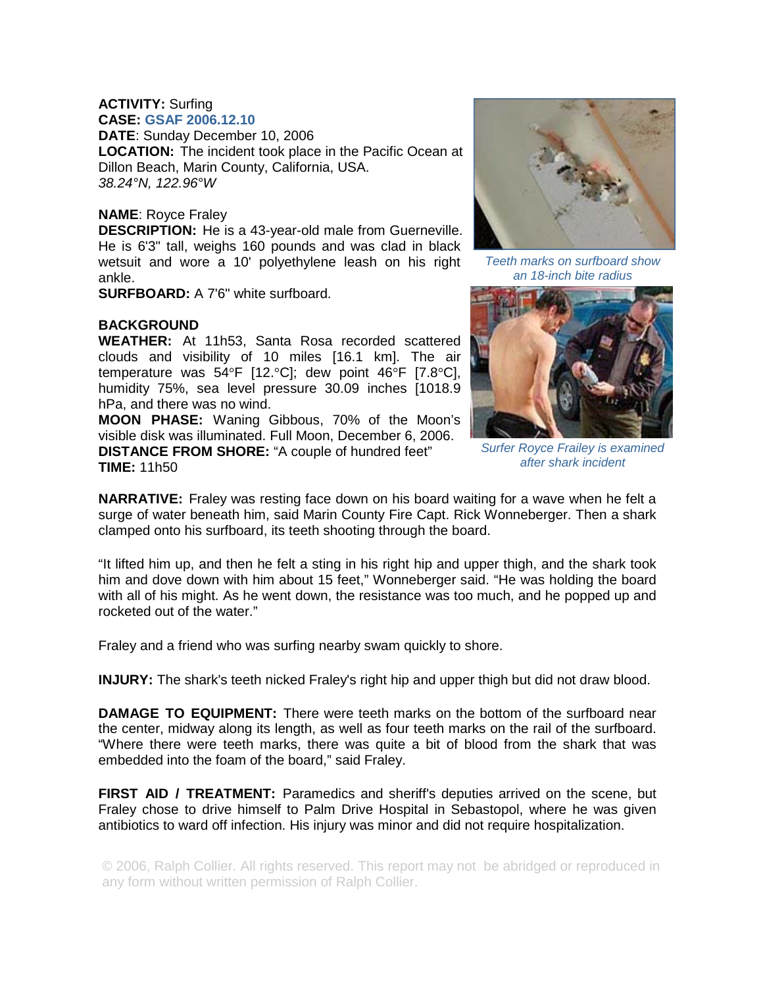## **ACTIVITY:** Surfing **CASE: GSAF 2006.12.10**

**DATE**: Sunday December 10, 2006 **LOCATION:** The incident took place in the Pacific Ocean at Dillon Beach, Marin County, California, USA. *38.24°N, 122.96°W* 

## **NAME**: Royce Fraley

**DESCRIPTION:** He is a 43-year-old male from Guerneville. He is 6'3" tall, weighs 160 pounds and was clad in black wetsuit and wore a 10' polyethylene leash on his right ankle.

**SURFBOARD:** A 7'6" white surfboard.

## **BACKGROUND**

**WEATHER:** At 11h53, Santa Rosa recorded scattered clouds and visibility of 10 miles [16.1 km]. The air temperature was 54°F [12.°C]; dew point 46°F [7.8°C], humidity 75%, sea level pressure 30.09 inches [1018.9 hPa, and there was no wind.

**MOON PHASE:** Waning Gibbous, 70% of the Moon's visible disk was illuminated. Full Moon, December 6, 2006. **DISTANCE FROM SHORE:** "A couple of hundred feet"

**TIME:** 11h50



*Teeth marks on surfboard show an 18-inch bite radius* 



*Surfer Royce Frailey is examined after shark incident* 

**NARRATIVE:** Fraley was resting face down on his board waiting for a wave when he felt a surge of water beneath him, said Marin County Fire Capt. Rick Wonneberger. Then a shark clamped onto his surfboard, its teeth shooting through the board.

"It lifted him up, and then he felt a sting in his right hip and upper thigh, and the shark took him and dove down with him about 15 feet," Wonneberger said. "He was holding the board with all of his might. As he went down, the resistance was too much, and he popped up and rocketed out of the water."

Fraley and a friend who was surfing nearby swam quickly to shore.

**INJURY:** The shark's teeth nicked Fraley's right hip and upper thigh but did not draw blood.

**DAMAGE TO EQUIPMENT:** There were teeth marks on the bottom of the surfboard near the center, midway along its length, as well as four teeth marks on the rail of the surfboard. "Where there were teeth marks, there was quite a bit of blood from the shark that was embedded into the foam of the board," said Fraley.

**FIRST AID / TREATMENT:** Paramedics and sheriff's deputies arrived on the scene, but Fraley chose to drive himself to Palm Drive Hospital in Sebastopol, where he was given antibiotics to ward off infection. His injury was minor and did not require hospitalization.

© 2006, Ralph Collier. All rights reserved. This report may not be abridged or reproduced in any form without written permission of Ralph Collier.